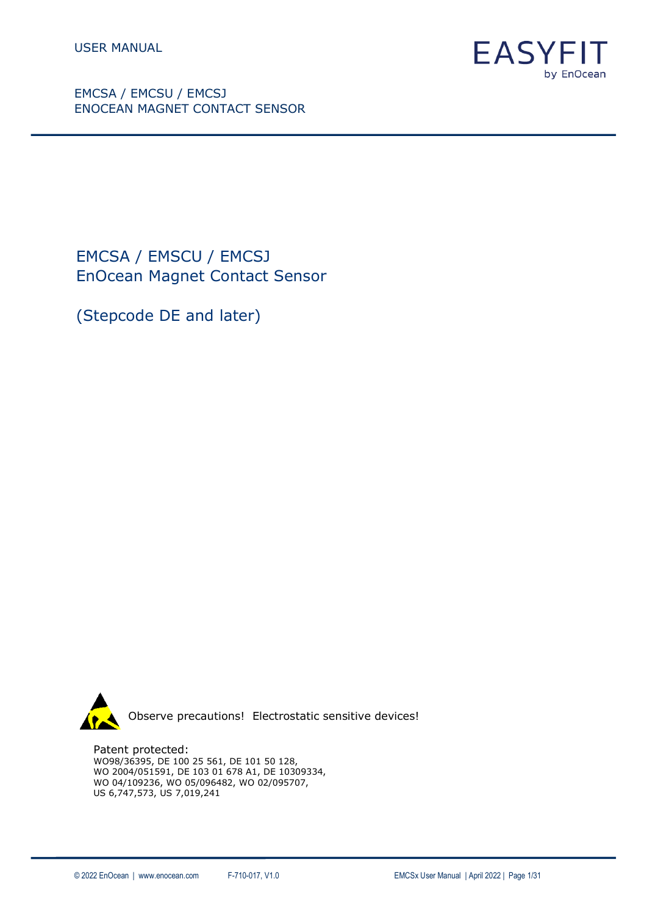

EMCSA / EMSCU / EMCSJ EnOcean Magnet Contact Sensor

(Stepcode DE and later)



Patent protected: WO98/36395, DE 100 25 561, DE 101 50 128, WO 2004/051591, DE 103 01 678 A1, DE 10309334, WO 04/109236, WO 05/096482, WO 02/095707, US 6,747,573, US 7,019,241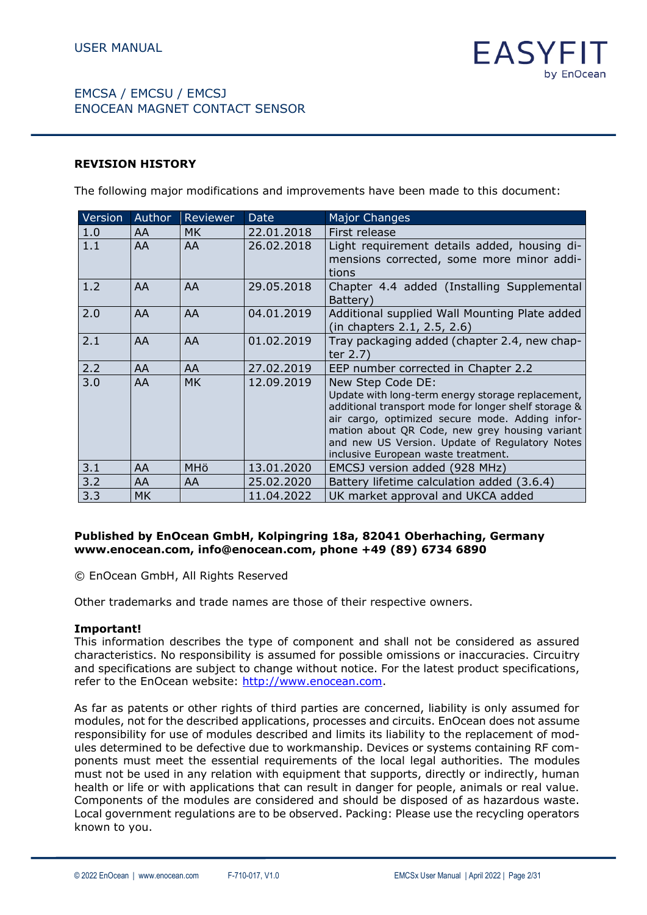#### **REVISION HISTORY**

The following major modifications and improvements have been made to this document:

| Version | Author    | Reviewer              | Date       | <b>Major Changes</b>                                                                                                                                                                                                                                                                                                         |
|---------|-----------|-----------------------|------------|------------------------------------------------------------------------------------------------------------------------------------------------------------------------------------------------------------------------------------------------------------------------------------------------------------------------------|
| 1.0     | AA        | MK.                   | 22.01.2018 | First release                                                                                                                                                                                                                                                                                                                |
| 1.1     | AA        | AA                    | 26.02.2018 | Light requirement details added, housing di-<br>mensions corrected, some more minor addi-<br>tions                                                                                                                                                                                                                           |
| 1.2     | AA        | AA                    | 29.05.2018 | Chapter 4.4 added (Installing Supplemental<br>Battery)                                                                                                                                                                                                                                                                       |
| 2.0     | AA        | AA                    | 04.01.2019 | Additional supplied Wall Mounting Plate added<br>(in chapters 2.1, 2.5, 2.6)                                                                                                                                                                                                                                                 |
| 2.1     | AA        | AA                    | 01.02.2019 | Tray packaging added (chapter 2.4, new chap-<br>ter 2.7)                                                                                                                                                                                                                                                                     |
| 2.2     | AA        | AA                    | 27.02.2019 | EEP number corrected in Chapter 2.2                                                                                                                                                                                                                                                                                          |
| 3.0     | AA        | <b>MK</b>             | 12.09.2019 | New Step Code DE:<br>Update with long-term energy storage replacement,<br>additional transport mode for longer shelf storage &<br>air cargo, optimized secure mode. Adding infor-<br>mation about QR Code, new grey housing variant<br>and new US Version. Update of Regulatory Notes<br>inclusive European waste treatment. |
| 3.1     | AA        | <b>MH<sub>Ö</sub></b> | 13.01.2020 | EMCSJ version added (928 MHz)                                                                                                                                                                                                                                                                                                |
| 3.2     | AA        | AA                    | 25.02.2020 | Battery lifetime calculation added (3.6.4)                                                                                                                                                                                                                                                                                   |
| 3.3     | <b>MK</b> |                       | 11.04.2022 | UK market approval and UKCA added                                                                                                                                                                                                                                                                                            |

#### **Published by EnOcean GmbH, Kolpingring 18a, 82041 Oberhaching, Germany www.enocean.com, info@enocean.com, phone +49 (89) 6734 6890**

© EnOcean GmbH, All Rights Reserved

Other trademarks and trade names are those of their respective owners.

#### **Important!**

This information describes the type of component and shall not be considered as assured characteristics. No responsibility is assumed for possible omissions or inaccuracies. Circuitry and specifications are subject to change without notice. For the latest product specifications, refer to the EnOcean website: [http://www.enocean.com.](http://www.enocean.com/)

As far as patents or other rights of third parties are concerned, liability is only assumed for modules, not for the described applications, processes and circuits. EnOcean does not assume responsibility for use of modules described and limits its liability to the replacement of modules determined to be defective due to workmanship. Devices or systems containing RF components must meet the essential requirements of the local legal authorities. The modules must not be used in any relation with equipment that supports, directly or indirectly, human health or life or with applications that can result in danger for people, animals or real value. Components of the modules are considered and should be disposed of as hazardous waste. Local government regulations are to be observed. Packing: Please use the recycling operators known to you.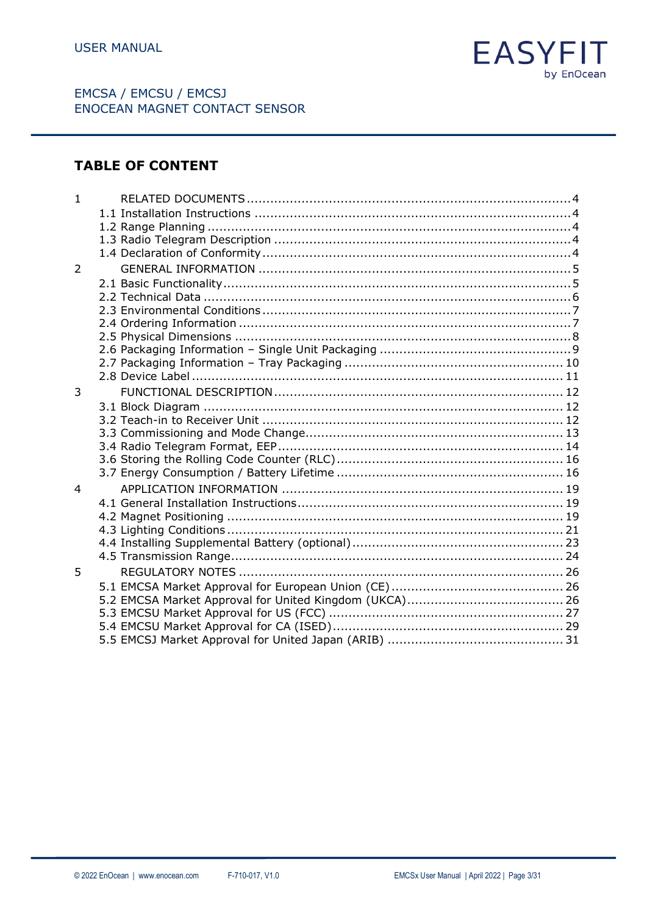

# **TABLE OF CONTENT**

| $\mathbf{1}$   |  |  |
|----------------|--|--|
|                |  |  |
|                |  |  |
|                |  |  |
|                |  |  |
| 2              |  |  |
|                |  |  |
|                |  |  |
|                |  |  |
|                |  |  |
|                |  |  |
|                |  |  |
|                |  |  |
|                |  |  |
| 3              |  |  |
|                |  |  |
|                |  |  |
|                |  |  |
|                |  |  |
|                |  |  |
| $\overline{4}$ |  |  |
|                |  |  |
|                |  |  |
|                |  |  |
|                |  |  |
|                |  |  |
| 5              |  |  |
|                |  |  |
|                |  |  |
|                |  |  |
|                |  |  |
|                |  |  |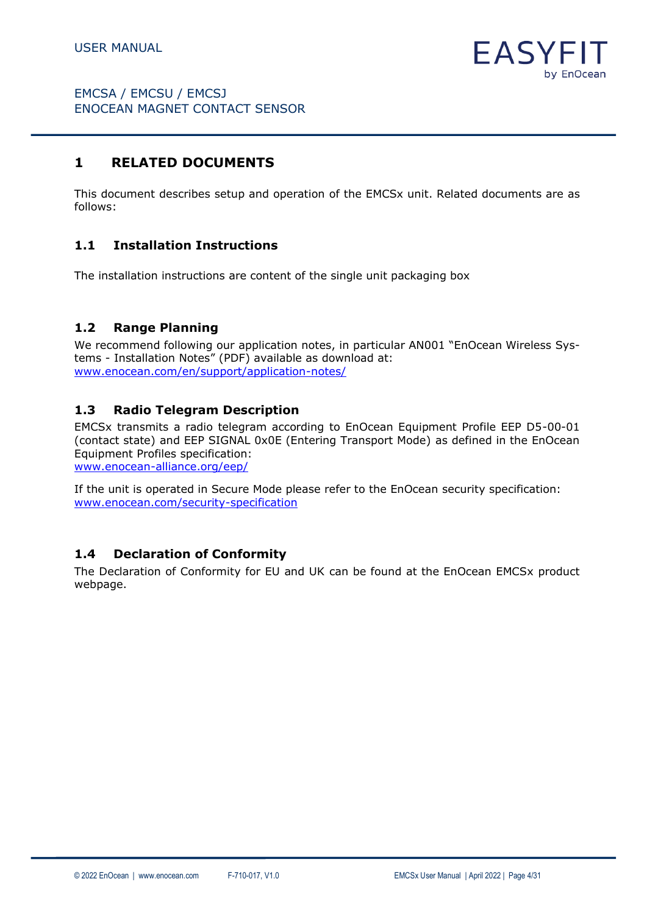

# <span id="page-3-0"></span>**1 RELATED DOCUMENTS**

This document describes setup and operation of the EMCSx unit. Related documents are as follows:

### <span id="page-3-1"></span>**1.1 Installation Instructions**

The installation instructions are content of the single unit packaging box

### <span id="page-3-2"></span>**1.2 Range Planning**

We recommend following our application notes, in particular AN001 "EnOcean Wireless Systems - Installation Notes" (PDF) available as download at: [www.enocean.com/en/support/application-notes/](http://www.enocean.com/en/support/application-notes/)

### <span id="page-3-3"></span>**1.3 Radio Telegram Description**

EMCSx transmits a radio telegram according to EnOcean Equipment Profile EEP D5-00-01 (contact state) and EEP SIGNAL 0x0E (Entering Transport Mode) as defined in the EnOcean Equipment Profiles specification:

[www.enocean-alliance.org/eep/](http://www.enocean-alliance.org/eep/)

If the unit is operated in Secure Mode please refer to the EnOcean security specification: [www.enocean.com/security-specification](http://www.enocean.com/security-specification)

#### <span id="page-3-4"></span>**1.4 Declaration of Conformity**

The Declaration of Conformity for EU and UK can be found at the EnOcean EMCSx product webpage.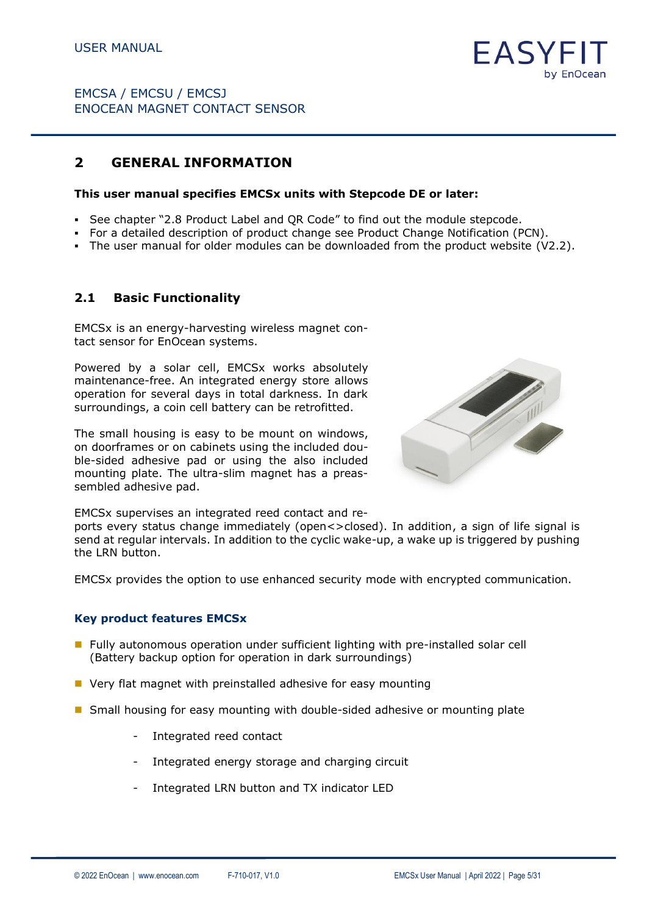

## <span id="page-4-0"></span>**2 GENERAL INFORMATION**

#### **This user manual specifies EMCSx units with Stepcode DE or later:**

- See chapter "2.8 Product Label and QR Code" to find out the module stepcode.
- For a detailed description of product change see Product Change Notification (PCN).
- The user manual for older modules can be downloaded from the product website (V2.2).

#### <span id="page-4-1"></span>**2.1 Basic Functionality**

EMCSx is an energy-harvesting wireless magnet contact sensor for EnOcean systems.

Powered by a solar cell, EMCSx works absolutely maintenance-free. An integrated energy store allows operation for several days in total darkness. In dark surroundings, a coin cell battery can be retrofitted.

The small housing is easy to be mount on windows, on doorframes or on cabinets using the included double-sided adhesive pad or using the also included mounting plate. The ultra-slim magnet has a preassembled adhesive pad.



EMCSx supervises an integrated reed contact and re-

ports every status change immediately (open<>closed). In addition, a sign of life signal is send at regular intervals. In addition to the cyclic wake-up, a wake up is triggered by pushing the LRN button.

EMCSx provides the option to use enhanced security mode with encrypted communication.

#### **Key product features EMCSx**

- Fully autonomous operation under sufficient lighting with pre-installed solar cell (Battery backup option for operation in dark surroundings)
- Very flat magnet with preinstalled adhesive for easy mounting
- Small housing for easy mounting with double-sided adhesive or mounting plate
	- Integrated reed contact
	- Integrated energy storage and charging circuit
	- Integrated LRN button and TX indicator LED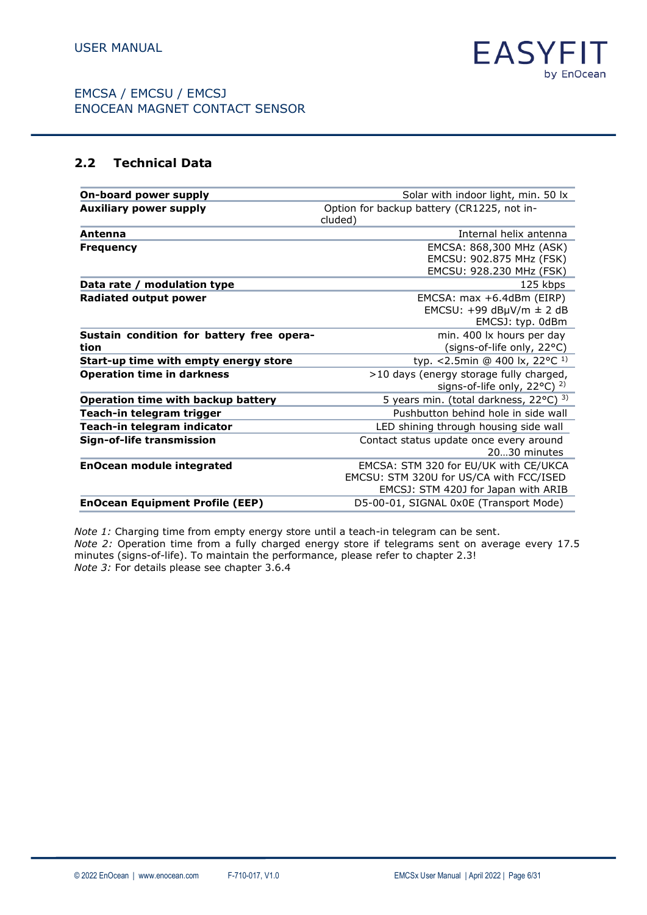

### <span id="page-5-0"></span>**2.2 Technical Data**

| On-board power supply                     | Solar with indoor light, min. 50 lx        |
|-------------------------------------------|--------------------------------------------|
| <b>Auxiliary power supply</b>             | Option for backup battery (CR1225, not in- |
|                                           | cluded)                                    |
| Antenna                                   | Internal helix antenna                     |
| Frequency                                 | EMCSA: 868,300 MHz (ASK)                   |
|                                           | EMCSU: 902.875 MHz (FSK)                   |
|                                           | EMCSU: 928.230 MHz (FSK)                   |
| Data rate / modulation type               | 125 kbps                                   |
| <b>Radiated output power</b>              | EMCSA: max +6.4dBm (EIRP)                  |
|                                           | EMCSU: $+99$ dBµV/m $\pm$ 2 dB             |
|                                           | EMCSJ: typ. 0dBm                           |
| Sustain condition for battery free opera- | min. 400 lx hours per day                  |
| tion                                      | (signs-of-life only, 22°C)                 |
| Start-up time with empty energy store     | typ. <2.5min @ 400 lx, 22 °C <sup>1)</sup> |
| <b>Operation time in darkness</b>         | >10 days (energy storage fully charged,    |
|                                           | signs-of-life only, 22°C) <sup>2)</sup>    |
| <b>Operation time with backup battery</b> | 5 years min. (total darkness, 22°C) 3)     |
| Teach-in telegram trigger                 | Pushbutton behind hole in side wall        |
| Teach-in telegram indicator               | LED shining through housing side wall      |
| Sign-of-life transmission                 | Contact status update once every around    |
|                                           | 2030 minutes                               |
| <b>EnOcean module integrated</b>          | EMCSA: STM 320 for EU/UK with CE/UKCA      |
|                                           | EMCSU: STM 320U for US/CA with FCC/ISED    |
|                                           | EMCSJ: STM 420J for Japan with ARIB        |
| <b>EnOcean Equipment Profile (EEP)</b>    | D5-00-01, SIGNAL 0x0E (Transport Mode)     |

*Note 1:* Charging time from empty energy store until a teach-in telegram can be sent. *Note 2:* Operation time from a fully charged energy store if telegrams sent on average every 17.5 minutes (signs-of-life). To maintain the performance, please refer to chapter 2.3! *Note 3:* For details please see chapter 3.6.4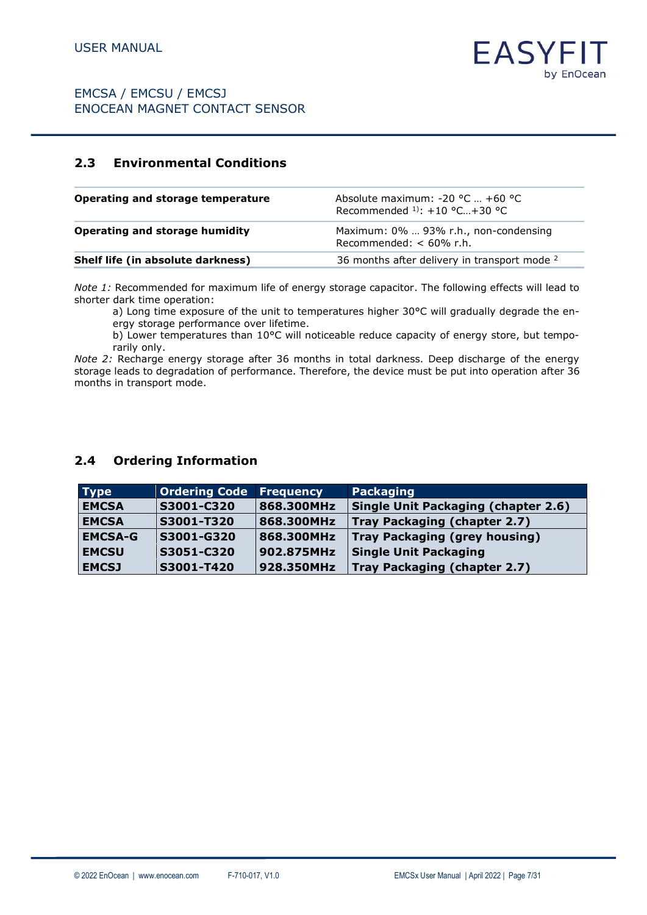# <span id="page-6-0"></span>**2.3 Environmental Conditions**

| Operating and storage temperature | Absolute maximum: $-20$ °C $+60$ °C<br>Recommended $1$ : +10 °C+30 °C |
|-----------------------------------|-----------------------------------------------------------------------|
| Operating and storage humidity    | Maximum: 0%  93% r.h., non-condensing<br>Recommended: $< 60\%$ r.h.   |
| Shelf life (in absolute darkness) | 36 months after delivery in transport mode <sup>2</sup>               |

*Note 1:* Recommended for maximum life of energy storage capacitor. The following effects will lead to shorter dark time operation:

a) Long time exposure of the unit to temperatures higher 30°C will gradually degrade the energy storage performance over lifetime.

b) Lower temperatures than 10°C will noticeable reduce capacity of energy store, but temporarily only.

*Note 2:* Recharge energy storage after 36 months in total darkness. Deep discharge of the energy storage leads to degradation of performance. Therefore, the device must be put into operation after 36 months in transport mode.

### <span id="page-6-1"></span>**2.4 Ordering Information**

| <b>Type</b>    | Ordering Code | <b>Frequency</b> | Packaging                                  |
|----------------|---------------|------------------|--------------------------------------------|
| <b>EMCSA</b>   | S3001-C320    | 868.300MHz       | <b>Single Unit Packaging (chapter 2.6)</b> |
| <b>EMCSA</b>   | S3001-T320    | 868.300MHz       | Tray Packaging (chapter 2.7)               |
| <b>EMCSA-G</b> | S3001-G320    | 868.300MHz       | <b>Tray Packaging (grey housing)</b>       |
| <b>EMCSU</b>   | S3051-C320    | 902.875MHz       | <b>Single Unit Packaging</b>               |
| <b>EMCSJ</b>   | S3001-T420    | 928.350MHz       | Tray Packaging (chapter 2.7)               |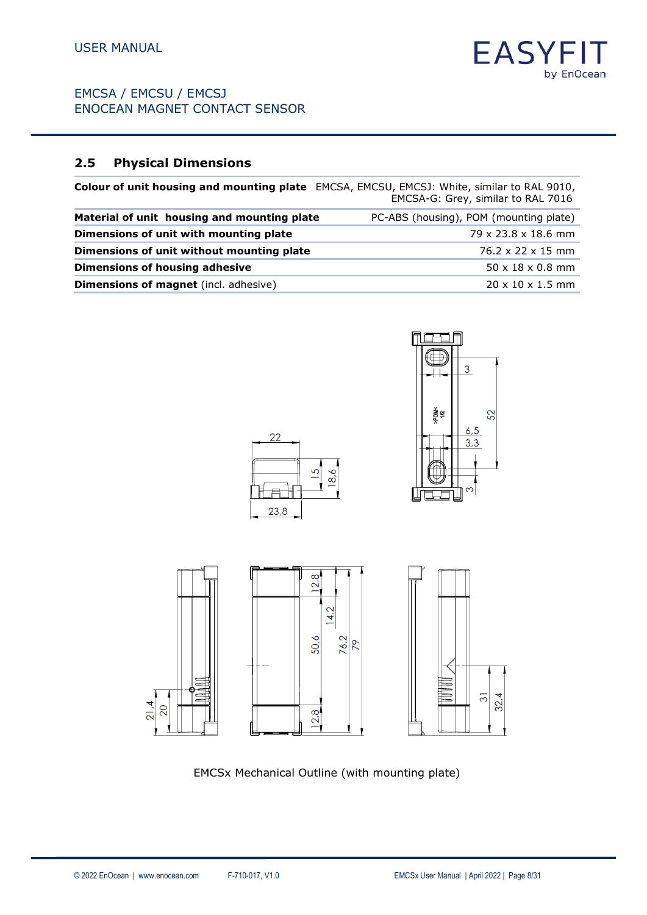# <span id="page-7-0"></span>**2.5 Physical Dimensions**

|                                              | <b>Colour of unit housing and mounting plate</b> EMCSA, EMCSU, EMCSJ: White, similar to RAL 9010,<br>EMCSA-G: Grey, similar to RAL 7016 |
|----------------------------------------------|-----------------------------------------------------------------------------------------------------------------------------------------|
| Material of unit housing and mounting plate  | PC-ABS (housing), POM (mounting plate)                                                                                                  |
| Dimensions of unit with mounting plate       | $79 \times 23.8 \times 18.6$ mm                                                                                                         |
| Dimensions of unit without mounting plate    | 76.2 x 22 x 15 mm                                                                                                                       |
| Dimensions of housing adhesive               | $50 \times 18 \times 0.8$ mm                                                                                                            |
| <b>Dimensions of magnet</b> (incl. adhesive) | $20 \times 10 \times 1.5$ mm                                                                                                            |





**EASY** 

by EnOcean



EMCSx Mechanical Outline (with mounting plate)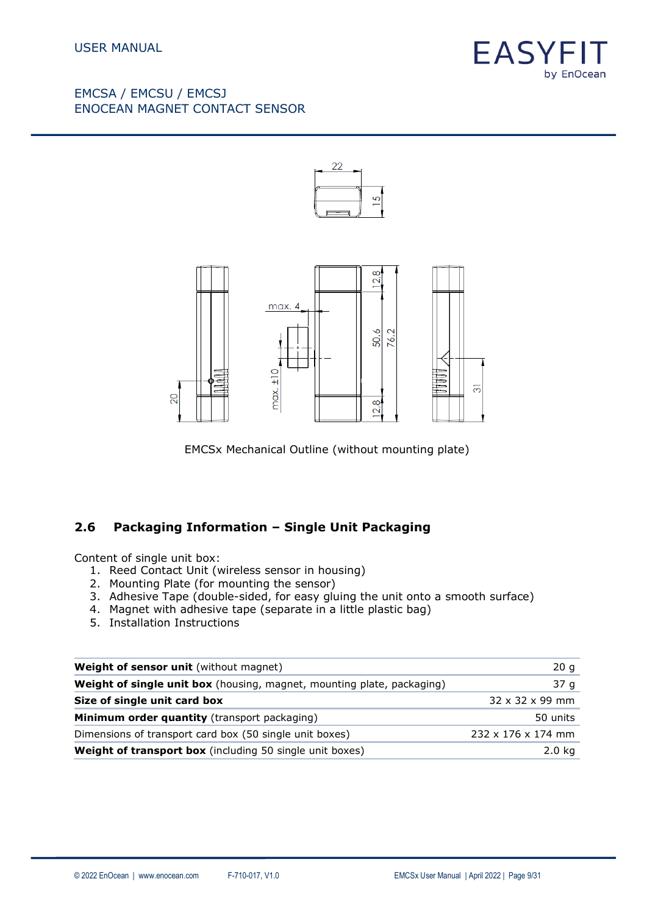





EMCSx Mechanical Outline (without mounting plate)

### <span id="page-8-0"></span>**2.6 Packaging Information – Single Unit Packaging**

Content of single unit box:

- 1. Reed Contact Unit (wireless sensor in housing)
- 2. Mounting Plate (for mounting the sensor)
- 3. Adhesive Tape (double-sided, for easy gluing the unit onto a smooth surface)
- 4. Magnet with adhesive tape (separate in a little plastic bag)
- 5. Installation Instructions

| Weight of sensor unit (without magnet)                                 | 20 g                           |
|------------------------------------------------------------------------|--------------------------------|
| Weight of single unit box (housing, magnet, mounting plate, packaging) | 37 g                           |
| Size of single unit card box                                           | $32 \times 32 \times 99$ mm    |
| <b>Minimum order quantity</b> (transport packaging)                    | 50 units                       |
| Dimensions of transport card box (50 single unit boxes)                | $232 \times 176 \times 174$ mm |
| <b>Weight of transport box</b> (including 50 single unit boxes)        | 2.0 <sub>kq</sub>              |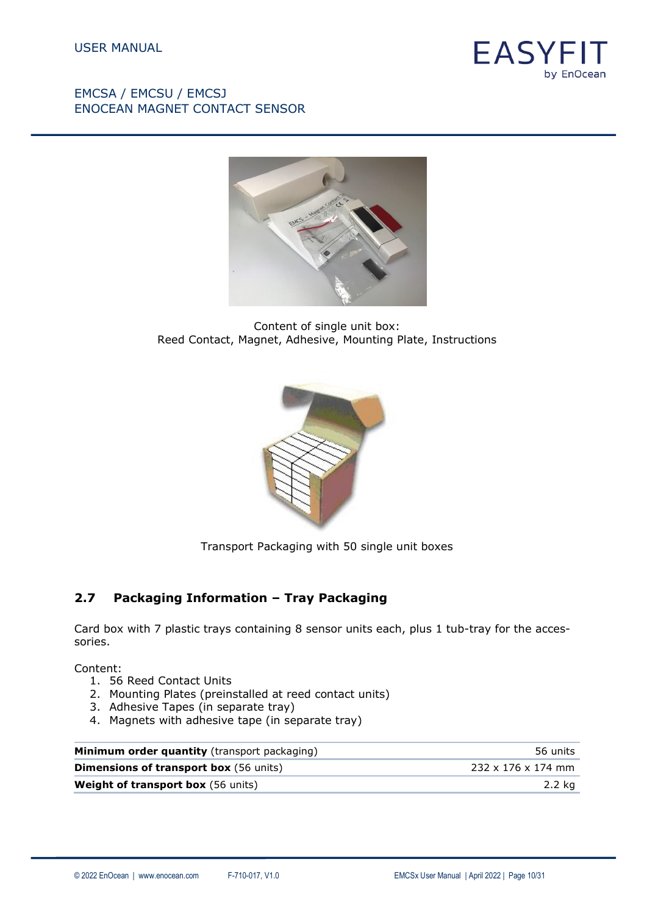



Content of single unit box: Reed Contact, Magnet, Adhesive, Mounting Plate, Instructions



Transport Packaging with 50 single unit boxes

### <span id="page-9-0"></span>**2.7 Packaging Information – Tray Packaging**

Card box with 7 plastic trays containing 8 sensor units each, plus 1 tub-tray for the accessories.

Content:

- 1. 56 Reed Contact Units
- 2. Mounting Plates (preinstalled at reed contact units)
- 3. Adhesive Tapes (in separate tray)
- 4. Magnets with adhesive tape (in separate tray)

| Minimum order quantity (transport packaging)  | 56 units                       |
|-----------------------------------------------|--------------------------------|
| <b>Dimensions of transport box</b> (56 units) | $232 \times 176 \times 174$ mm |
| <b>Weight of transport box</b> (56 units)     | 2.2 ka                         |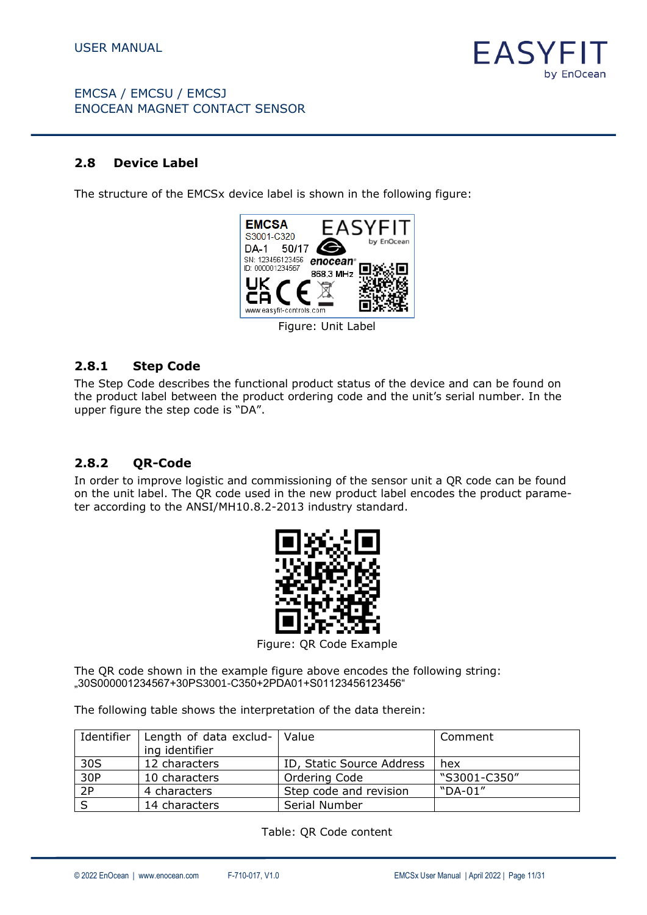

### <span id="page-10-0"></span>**2.8 Device Label**

The structure of the EMCSx device label is shown in the following figure:



Figure: Unit Label

#### **2.8.1 Step Code**

The Step Code describes the functional product status of the device and can be found on the product label between the product ordering code and the unit's serial number. In the upper figure the step code is "DA".

# **2.8.2 QR-Code**

In order to improve logistic and commissioning of the sensor unit a QR code can be found on the unit label. The QR code used in the new product label encodes the product parameter according to the ANSI/MH10.8.2-2013 industry standard.



Figure: QR Code Example

The QR code shown in the example figure above encodes the following string: "30S000001234567+30PS3001-C350+2PDA01+S01123456123456"

The following table shows the interpretation of the data therein:

| Identifier | Length of data exclud-   Value |                           | Comment      |
|------------|--------------------------------|---------------------------|--------------|
|            | ing identifier                 |                           |              |
| 30S        | 12 characters                  | ID, Static Source Address | hex          |
| 30P        | 10 characters                  | Ordering Code             | "S3001-C350" |
| 2P         | 4 characters                   | Step code and revision    | "DA-01"      |
|            | 14 characters                  | Serial Number             |              |

Table: QR Code content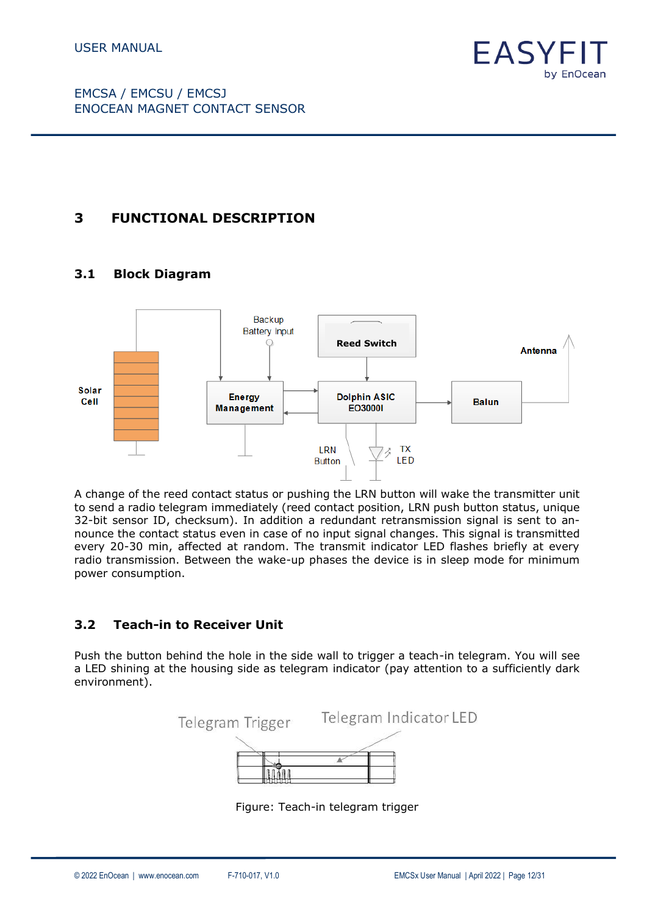

# <span id="page-11-0"></span>**3 FUNCTIONAL DESCRIPTION**

## <span id="page-11-1"></span>**3.1 Block Diagram**



A change of the reed contact status or pushing the LRN button will wake the transmitter unit to send a radio telegram immediately (reed contact position, LRN push button status, unique 32-bit sensor ID, checksum). In addition a redundant retransmission signal is sent to announce the contact status even in case of no input signal changes. This signal is transmitted every 20-30 min, affected at random. The transmit indicator LED flashes briefly at every radio transmission. Between the wake-up phases the device is in sleep mode for minimum power consumption.

### <span id="page-11-2"></span>**3.2 Teach-in to Receiver Unit**

Push the button behind the hole in the side wall to trigger a teach-in telegram. You will see a LED shining at the housing side as telegram indicator (pay attention to a sufficiently dark environment).



Figure: Teach-in telegram trigger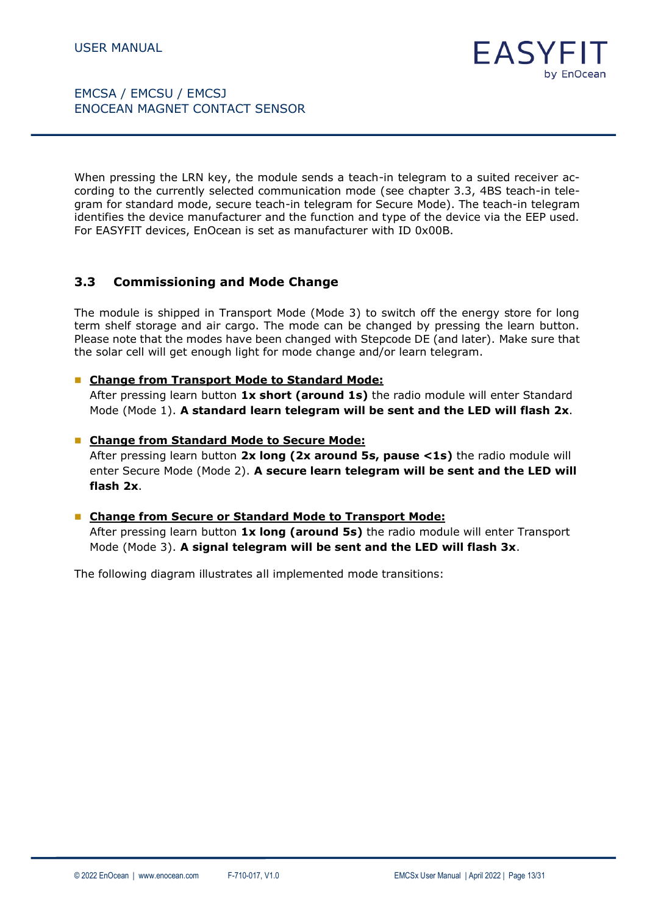When pressing the LRN key, the module sends a teach-in telegram to a suited receiver according to the currently selected communication mode (see chapter 3.3, 4BS teach-in telegram for standard mode, secure teach-in telegram for Secure Mode). The teach-in telegram identifies the device manufacturer and the function and type of the device via the EEP used. For EASYFIT devices, EnOcean is set as manufacturer with ID 0x00B.

### <span id="page-12-0"></span>**3.3 Commissioning and Mode Change**

The module is shipped in Transport Mode (Mode 3) to switch off the energy store for long term shelf storage and air cargo. The mode can be changed by pressing the learn button. Please note that the modes have been changed with Stepcode DE (and later). Make sure that the solar cell will get enough light for mode change and/or learn telegram.

#### ■ Change from Transport Mode to Standard Mode:

After pressing learn button **1x short (around 1s)** the radio module will enter Standard Mode (Mode 1). **A standard learn telegram will be sent and the LED will flash 2x**.

#### ■ Change from Standard Mode to Secure Mode:

After pressing learn button **2x long (2x around 5s, pause <1s)** the radio module will enter Secure Mode (Mode 2). **A secure learn telegram will be sent and the LED will flash 2x**.

#### ■ Change from Secure or Standard Mode to Transport Mode:

After pressing learn button **1x long (around 5s)** the radio module will enter Transport Mode (Mode 3). **A signal telegram will be sent and the LED will flash 3x**.

The following diagram illustrates all implemented mode transitions: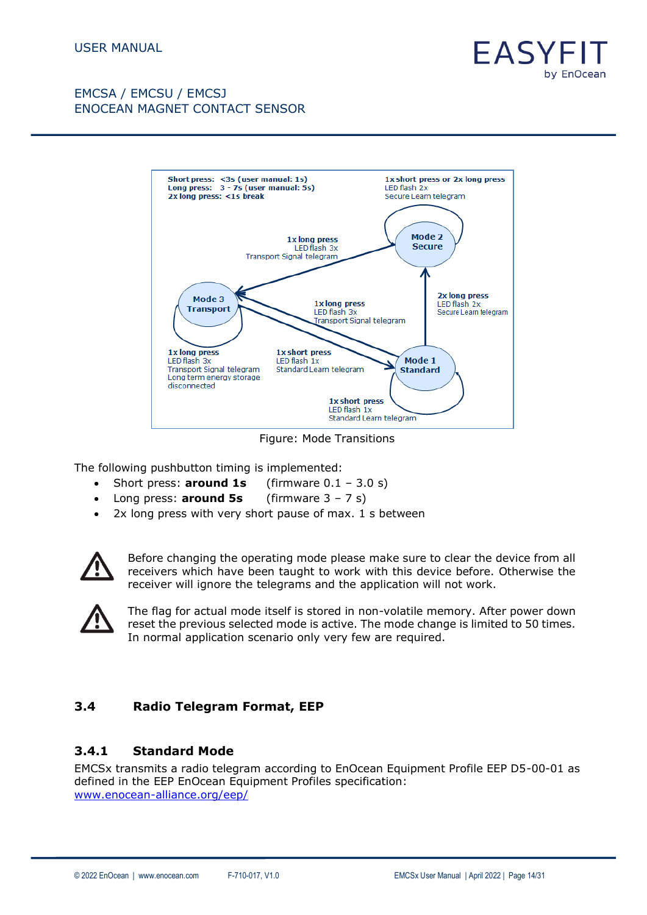



Figure: Mode Transitions

The following pushbutton timing is implemented:

- Short press: **around 1s** (firmware 0.1 3.0 s)
- Long press: **around 5s** (firmware 3 7 s)
- 2x long press with very short pause of max. 1 s between



Before changing the operating mode please make sure to clear the device from all receivers which have been taught to work with this device before. Otherwise the receiver will ignore the telegrams and the application will not work.



The flag for actual mode itself is stored in non-volatile memory. After power down reset the previous selected mode is active. The mode change is limited to 50 times. In normal application scenario only very few are required.

### <span id="page-13-0"></span>**3.4 Radio Telegram Format, EEP**

#### **3.4.1 Standard Mode**

EMCSx transmits a radio telegram according to EnOcean Equipment Profile EEP D5-00-01 as defined in the EEP EnOcean Equipment Profiles specification: [www.enocean-alliance.org/eep/](http://www.enocean-alliance.org/eep/)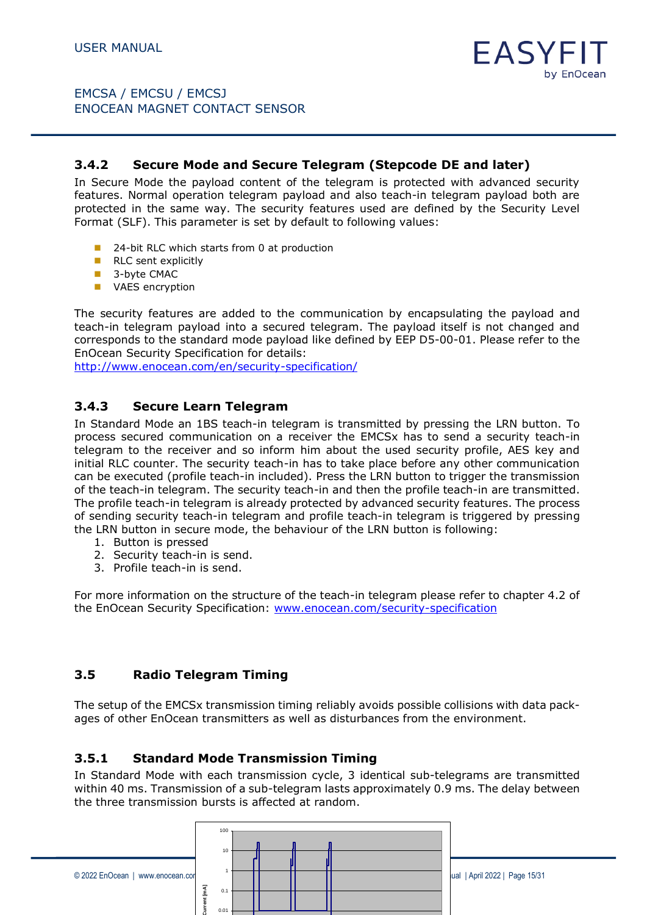## **3.4.2 Secure Mode and Secure Telegram (Stepcode DE and later)**

In Secure Mode the payload content of the telegram is protected with advanced security features. Normal operation telegram payload and also teach-in telegram payload both are protected in the same way. The security features used are defined by the Security Level Format (SLF). This parameter is set by default to following values:

- 24-bit RLC which starts from 0 at production
- RLC sent explicitly
- 3-byte CMAC
- VAES encryption

The security features are added to the communication by encapsulating the payload and teach-in telegram payload into a secured telegram. The payload itself is not changed and corresponds to the standard mode payload like defined by EEP D5-00-01. Please refer to the EnOcean Security Specification for details:

<http://www.enocean.com/en/security-specification/>

### **3.4.3 Secure Learn Telegram**

In Standard Mode an 1BS teach-in telegram is transmitted by pressing the LRN button. To process secured communication on a receiver the EMCSx has to send a security teach-in telegram to the receiver and so inform him about the used security profile, AES key and initial RLC counter. The security teach-in has to take place before any other communication can be executed (profile teach-in included). Press the LRN button to trigger the transmission of the teach-in telegram. The security teach-in and then the profile teach-in are transmitted. The profile teach-in telegram is already protected by advanced security features. The process of sending security teach-in telegram and profile teach-in telegram is triggered by pressing the LRN button in secure mode, the behaviour of the LRN button is following:

- 1. Button is pressed
- 2. Security teach-in is send.
- 3. Profile teach-in is send.

For more information on the structure of the teach-in telegram please refer to chapter 4.2 of the EnOcean Security Specification: [www.enocean.com/security-specification](http://www.enocean.com/security-specification) 

# **3.5 Radio Telegram Timing**

The setup of the EMCSx transmission timing reliably avoids possible collisions with data packages of other EnOcean transmitters as well as disturbances from the environment.

### **3.5.1 Standard Mode Transmission Timing**

In Standard Mode with each transmission cycle, 3 identical sub-telegrams are transmitted within 40 ms. Transmission of a sub-telegram lasts approximately 0.9 ms. The delay between the three transmission bursts is affected at random.

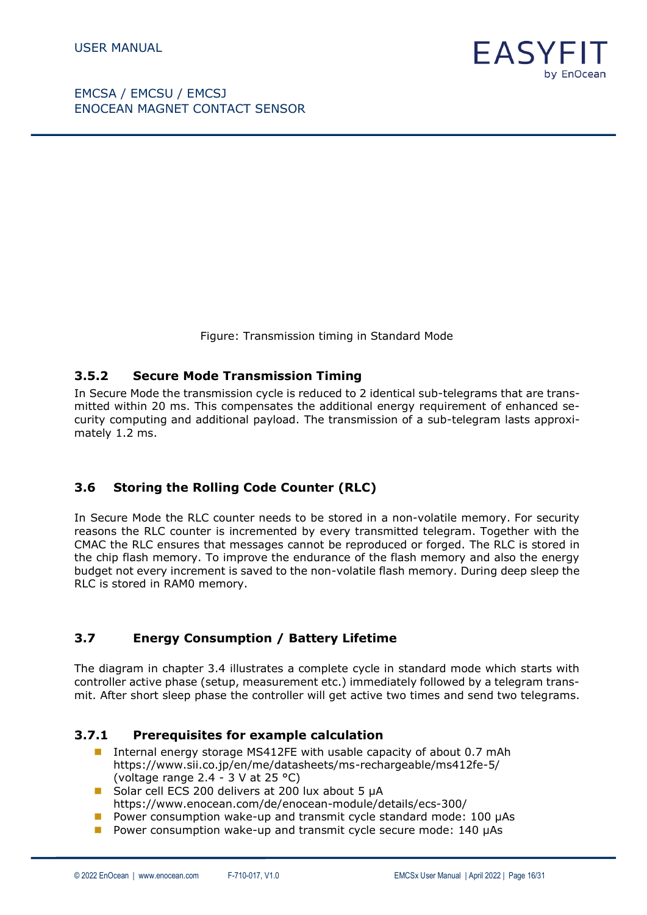



Figure: Transmission timing in Standard Mode

#### **3.5.2 Secure Mode Transmission Timing**

In Secure Mode the transmission cycle is reduced to 2 identical sub-telegrams that are transmitted within 20 ms. This compensates the additional energy requirement of enhanced security computing and additional payload. The transmission of a sub-telegram lasts approximately 1.2 ms.

### <span id="page-15-0"></span>**3.6 Storing the Rolling Code Counter (RLC)**

In Secure Mode the RLC counter needs to be stored in a non-volatile memory. For security reasons the RLC counter is incremented by every transmitted telegram. Together with the CMAC the RLC ensures that messages cannot be reproduced or forged. The RLC is stored in the chip flash memory. To improve the endurance of the flash memory and also the energy budget not every increment is saved to the non-volatile flash memory. During deep sleep the RLC is stored in RAM0 memory.

### <span id="page-15-1"></span>**3.7 Energy Consumption / Battery Lifetime**

The diagram in chapter 3.4 illustrates a complete cycle in standard mode which starts with controller active phase (setup, measurement etc.) immediately followed by a telegram transmit. After short sleep phase the controller will get active two times and send two telegrams.

#### **3.7.1 Prerequisites for example calculation**

- Internal energy storage MS412FE with usable capacity of about 0.7 mAh <https://www.sii.co.jp/en/me/datasheets/ms-rechargeable/ms412fe-5/> (voltage range 2.4 - 3 V at 25 °C)
- Solar cell ECS 200 delivers at 200 lux about 5 µA <https://www.enocean.com/de/enocean-module/details/ecs-300/>
- $\blacksquare$  Power consumption wake-up and transmit cycle standard mode: 100  $\mu$ As
- $\blacksquare$  Power consumption wake-up and transmit cycle secure mode: 140  $\mu$ As

EASY

by EnOcean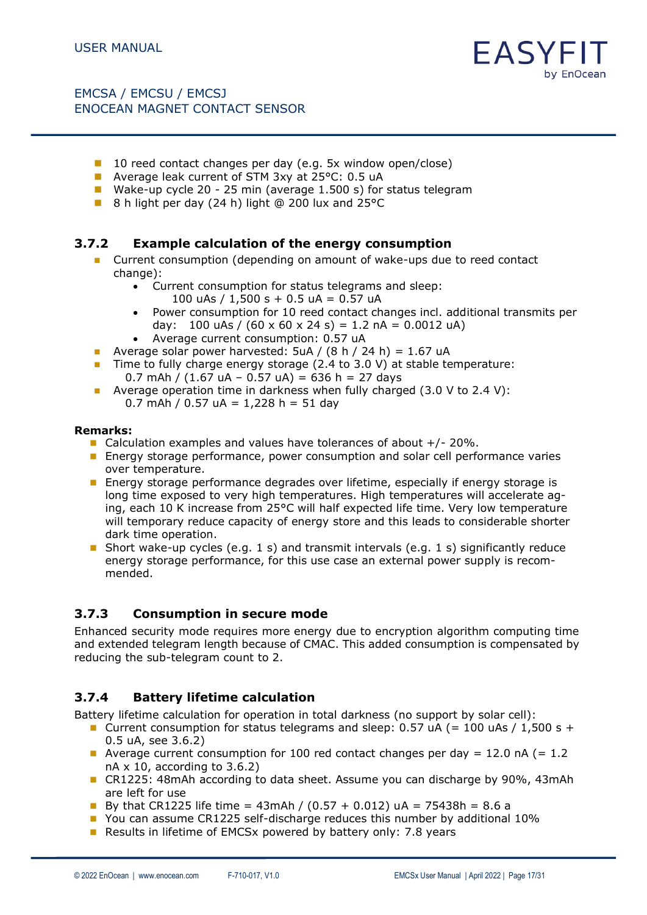

- 10 reed contact changes per day (e.g. 5x window open/close)
- Average leak current of STM 3xy at 25°C: 0.5 uA
- Wake-up cycle 20 25 min (average 1.500 s) for status telegram
- 8 h light per day (24 h) light @ 200 lux and 25 °C

### **3.7.2 Example calculation of the energy consumption**

- Current consumption (depending on amount of wake-ups due to reed contact change):
	- Current consumption for status telegrams and sleep:
		- 100 uAs / 1,500 s + 0.5 uA = 0.57 uA
	- Power consumption for 10 reed contact changes incl. additional transmits per day: 100 uAs /  $(60 \times 60 \times 24 \text{ s}) = 1.2 \text{ nA} = 0.0012 \text{ uA}$
	- Average current consumption: 0.57 uA
- Average solar power harvested:  $5uA / (8 h / 24 h) = 1.67 uA$
- Time to fully charge energy storage (2.4 to 3.0 V) at stable temperature: 0.7 mAh /  $(1.67 \text{ uA} - 0.57 \text{ uA}) = 636 \text{ h} = 27 \text{ days}$
- Average operation time in darkness when fully charged  $(3.0 \text{ V to } 2.4 \text{ V})$ : 0.7 mAh / 0.57 uA =  $1,228$  h = 51 day

#### **Remarks:**

- Calculation examples and values have tolerances of about  $+/-20\%$ .
- Energy storage performance, power consumption and solar cell performance varies over temperature.
- Energy storage performance degrades over lifetime, especially if energy storage is long time exposed to very high temperatures. High temperatures will accelerate aging, each 10 K increase from 25°C will half expected life time. Very low temperature will temporary reduce capacity of energy store and this leads to considerable shorter dark time operation.
- **■** Short wake-up cycles (e.g. 1 s) and transmit intervals (e.g. 1 s) significantly reduce energy storage performance, for this use case an external power supply is recommended.

### **3.7.3 Consumption in secure mode**

Enhanced security mode requires more energy due to encryption algorithm computing time and extended telegram length because of CMAC. This added consumption is compensated by reducing the sub-telegram count to 2.

### **3.7.4 Battery lifetime calculation**

Battery lifetime calculation for operation in total darkness (no support by solar cell):

- **■** Current consumption for status telegrams and sleep:  $0.57$  uA (= 100 uAs / 1,500 s + 0.5 uA, see 3.6.2)
- **■** Average current consumption for 100 red contact changes per day = 12.0 nA (= 1.2 nA x 10, according to 3.6.2)
- CR1225: 48mAh according to data sheet. Assume you can discharge by 90%, 43mAh are left for use
- By that CR1225 life time =  $43$ mAh / (0.57 + 0.012) uA = 75438h = 8.6 a
- You can assume CR1225 self-discharge reduces this number by additional 10%
- Results in lifetime of EMCSx powered by battery only: 7.8 years

FASYE

by EnOcean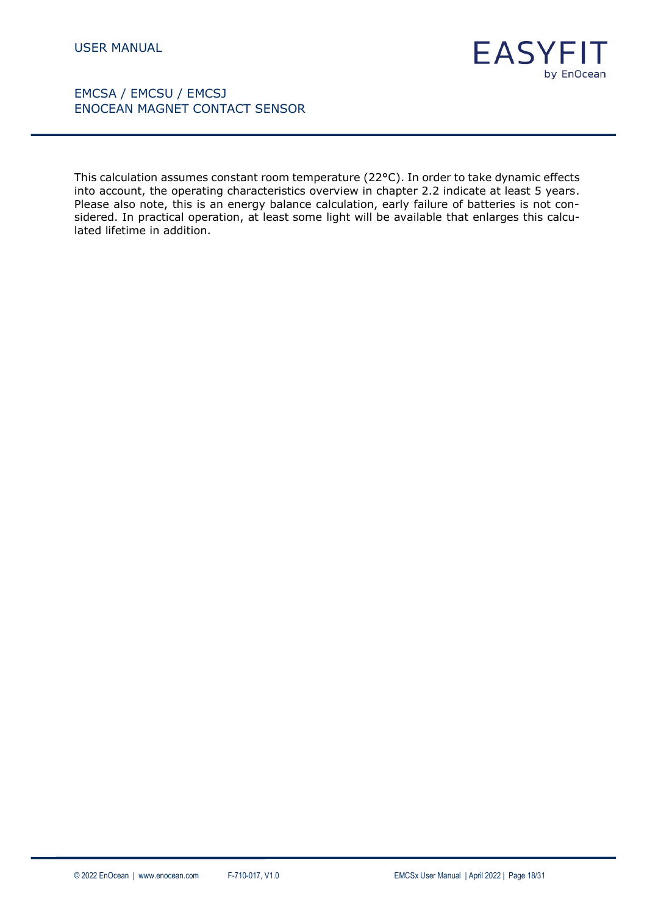

This calculation assumes constant room temperature (22°C). In order to take dynamic effects into account, the operating characteristics overview in chapter 2.2 indicate at least 5 years. Please also note, this is an energy balance calculation, early failure of batteries is not considered. In practical operation, at least some light will be available that enlarges this calculated lifetime in addition.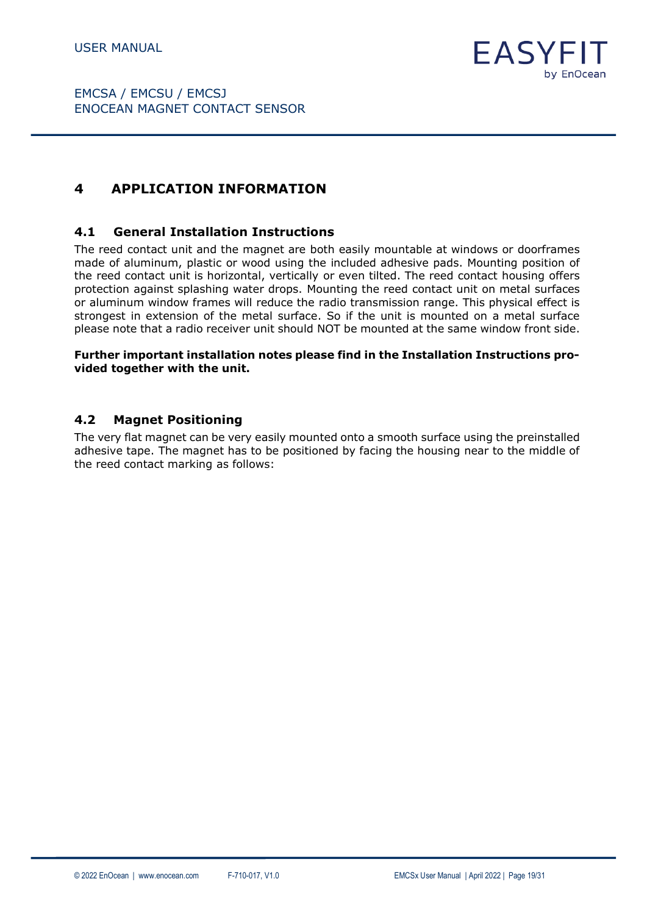

# <span id="page-18-0"></span>**4 APPLICATION INFORMATION**

#### <span id="page-18-1"></span>**4.1 General Installation Instructions**

The reed contact unit and the magnet are both easily mountable at windows or doorframes made of aluminum, plastic or wood using the included adhesive pads. Mounting position of the reed contact unit is horizontal, vertically or even tilted. The reed contact housing offers protection against splashing water drops. Mounting the reed contact unit on metal surfaces or aluminum window frames will reduce the radio transmission range. This physical effect is strongest in extension of the metal surface. So if the unit is mounted on a metal surface please note that a radio receiver unit should NOT be mounted at the same window front side.

#### **Further important installation notes please find in the Installation Instructions provided together with the unit.**

#### <span id="page-18-2"></span>**4.2 Magnet Positioning**

The very flat magnet can be very easily mounted onto a smooth surface using the preinstalled adhesive tape. The magnet has to be positioned by facing the housing near to the middle of the reed contact marking as follows: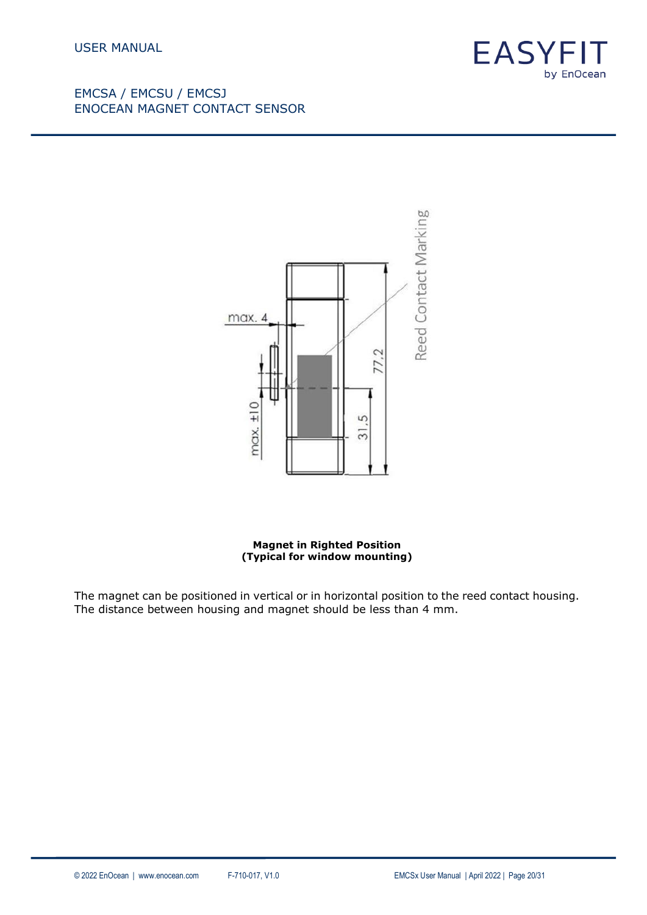



**Magnet in Righted Position (Typical for window mounting)**

The magnet can be positioned in vertical or in horizontal position to the reed contact housing. The distance between housing and magnet should be less than 4 mm.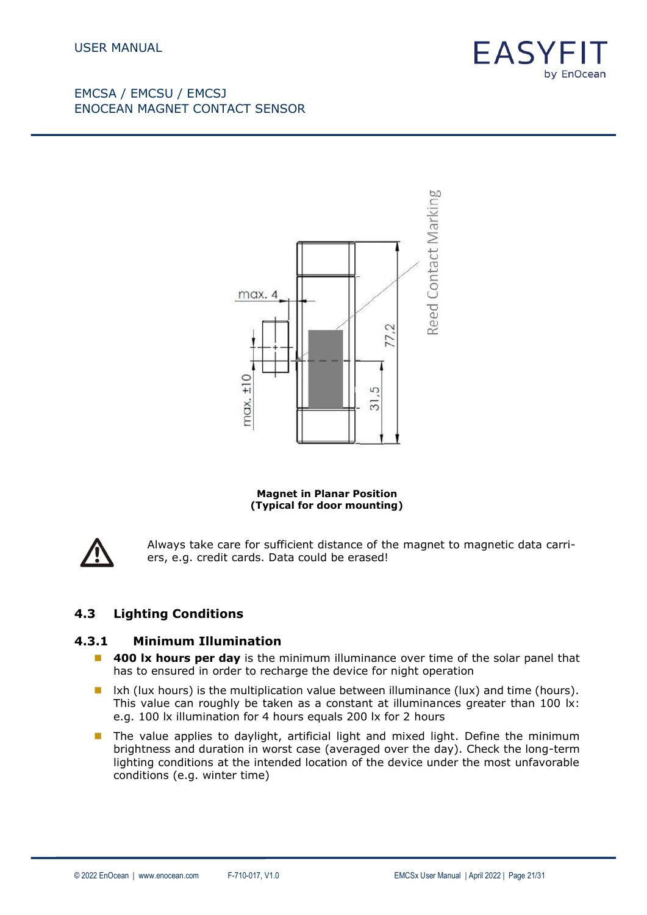



**Magnet in Planar Position (Typical for door mounting)**



Always take care for sufficient distance of the magnet to magnetic data carriers, e.g. credit cards. Data could be erased!

### <span id="page-20-0"></span>**4.3 Lighting Conditions**

#### **4.3.1 Minimum Illumination**

- 400 lx hours per day is the minimum illuminance over time of the solar panel that has to ensured in order to recharge the device for night operation
- Ixh (lux hours) is the multiplication value between illuminance (lux) and time (hours). This value can roughly be taken as a constant at illuminances greater than 100 lx: e.g. 100 lx illumination for 4 hours equals 200 lx for 2 hours
- The value applies to daylight, artificial light and mixed light. Define the minimum brightness and duration in worst case (averaged over the day). Check the long-term lighting conditions at the intended location of the device under the most unfavorable conditions (e.g. winter time)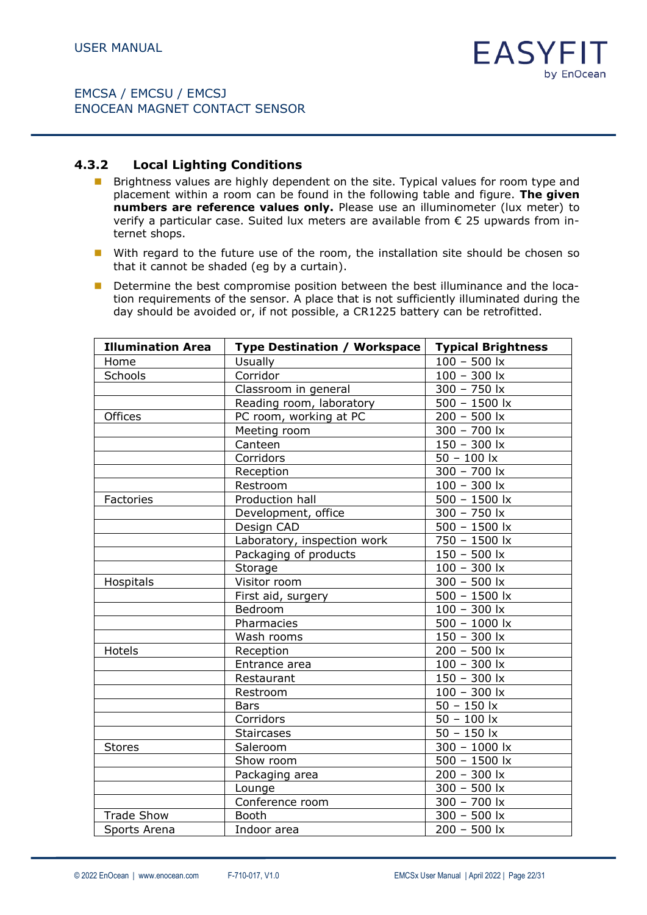#### **4.3.2 Local Lighting Conditions**

- Brightness values are highly dependent on the site. Typical values for room type and placement within a room can be found in the following table and figure. **The given numbers are reference values only.** Please use an illuminometer (lux meter) to verify a particular case. Suited lux meters are available from € 25 upwards from internet shops.
- With regard to the future use of the room, the installation site should be chosen so that it cannot be shaded (eg by a curtain).
- Determine the best compromise position between the best illuminance and the location requirements of the sensor. A place that is not sufficiently illuminated during the day should be avoided or, if not possible, a CR1225 battery can be retrofitted.

| <b>Illumination Area</b> | <b>Type Destination / Workspace</b> | <b>Typical Brightness</b>                   |  |
|--------------------------|-------------------------------------|---------------------------------------------|--|
| Home                     | <b>Usually</b>                      | $100 - 500$ lx                              |  |
| Schools                  | Corridor                            | $100 - 300$ lx                              |  |
|                          | Classroom in general                | $300 - 750$ lx                              |  |
|                          | Reading room, laboratory            | $500 - 1500$ lx                             |  |
| Offices                  | PC room, working at PC              | $200 - 500$ lx                              |  |
|                          | Meeting room                        | $300 - 700$ lx                              |  |
|                          | Canteen                             | $150 - 300$ lx                              |  |
|                          | Corridors                           | $50 - 100$ $x$                              |  |
|                          | Reception                           | $300 - 700$ lx                              |  |
|                          | Restroom                            | $100 - 300$ lx                              |  |
| Factories                | Production hall                     | $\frac{500}{ } - 1500 \overline{\text{lx}}$ |  |
|                          | Development, office                 | $300 - 750$ lx                              |  |
|                          | Design CAD                          | $500 - 1500$ lx                             |  |
|                          | Laboratory, inspection work         | 750 - 1500 lx                               |  |
|                          | Packaging of products               | $150 - 500$ lx                              |  |
|                          | Storage                             | $100 - 300$ lx                              |  |
| Hospitals                | Visitor room                        | $300 - 500$ lx                              |  |
|                          | First aid, surgery                  | $500 - 1500$ lx                             |  |
|                          | Bedroom                             | $100 - 300$ lx                              |  |
|                          | Pharmacies                          | $500 - 1000$ lx                             |  |
|                          | Wash rooms                          | $150 - 300$ lx                              |  |
| Hotels                   | Reception                           | $200 - 500$ lx                              |  |
|                          | Entrance area                       | $100 - 300$ lx                              |  |
|                          | Restaurant                          | $150 - 300$ lx                              |  |
|                          | Restroom                            | $100 - 300$ lx                              |  |
|                          | <b>Bars</b>                         | $50 - 150$ lx                               |  |
|                          | Corridors                           | $50 - 100$ lx                               |  |
|                          | <b>Staircases</b>                   | $50 - 150$ lx                               |  |
| <b>Stores</b>            | Saleroom                            | 300 - 1000 lx                               |  |
|                          | Show room                           | $500 - 1500$ lx                             |  |
|                          | Packaging area                      | $200 - 300$ lx                              |  |
|                          | Lounge                              | $300 - 500$ lx                              |  |
|                          | Conference room                     | $300 - 700$ lx                              |  |
| <b>Trade Show</b>        | Booth                               | $300 - 500$ lx                              |  |
| Sports Arena             | Indoor area                         | $200 - 500$ lx                              |  |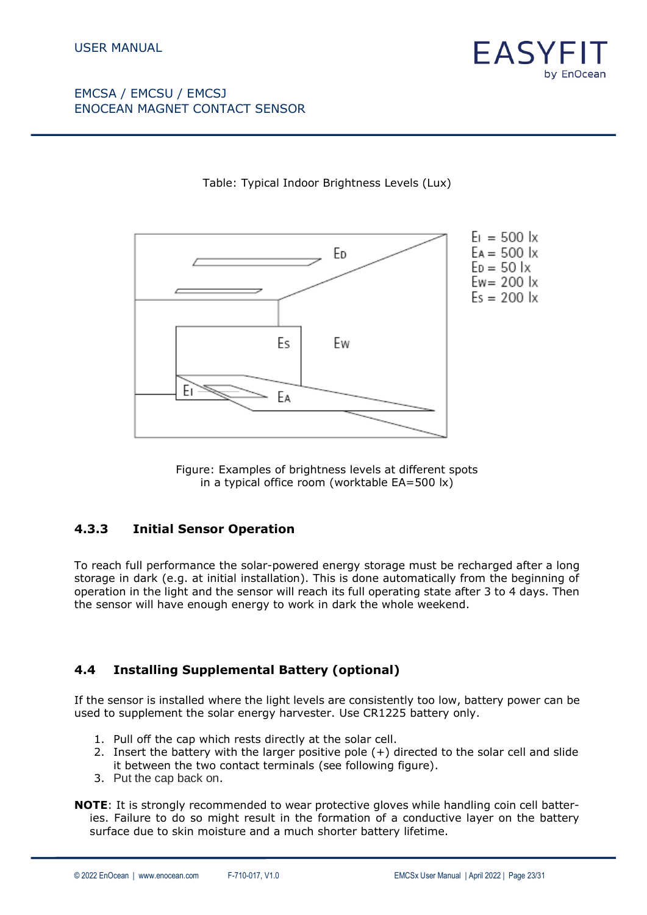



### Table: Typical Indoor Brightness Levels (Lux)

Figure: Examples of brightness levels at different spots in a typical office room (worktable EA=500 lx)

### **4.3.3 Initial Sensor Operation**

To reach full performance the solar-powered energy storage must be recharged after a long storage in dark (e.g. at initial installation). This is done automatically from the beginning of operation in the light and the sensor will reach its full operating state after 3 to 4 days. Then the sensor will have enough energy to work in dark the whole weekend.

### <span id="page-22-0"></span>**4.4 Installing Supplemental Battery (optional)**

If the sensor is installed where the light levels are consistently too low, battery power can be used to supplement the solar energy harvester. Use CR1225 battery only.

- 1. Pull off the cap which rests directly at the solar cell.
- 2. Insert the battery with the larger positive pole (+) directed to the solar cell and slide it between the two contact terminals (see following figure).
- 3. Put the cap back on.

**NOTE:** It is strongly recommended to wear protective gloves while handling coin cell batteries. Failure to do so might result in the formation of a conductive layer on the battery surface due to skin moisture and a much shorter battery lifetime.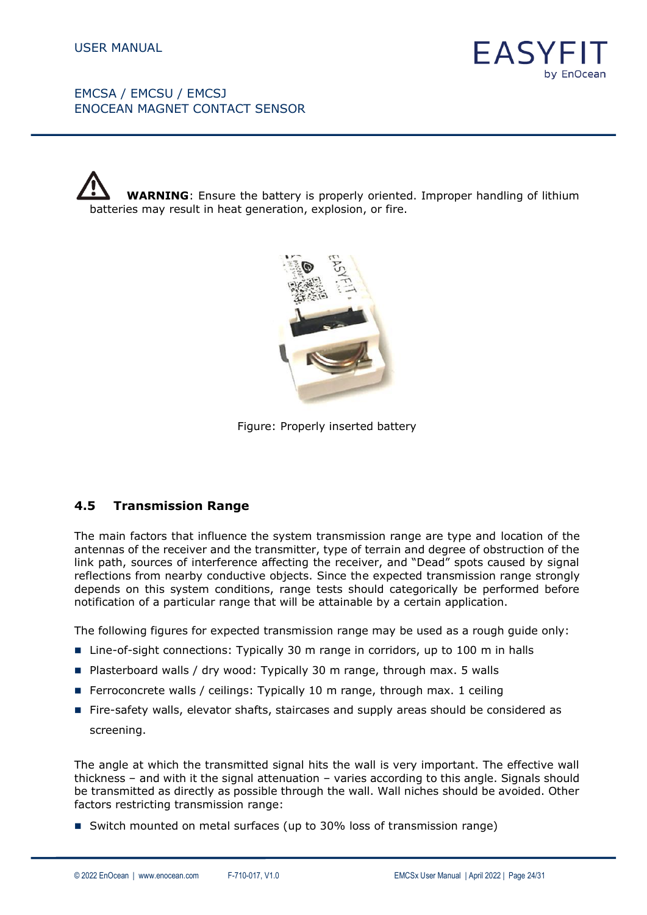

 **WARNING**: Ensure the battery is properly oriented. Improper handling of lithium batteries may result in heat generation, explosion, or fire.



Figure: Properly inserted battery

### <span id="page-23-0"></span>**4.5 Transmission Range**

The main factors that influence the system transmission range are type and location of the antennas of the receiver and the transmitter, type of terrain and degree of obstruction of the link path, sources of interference affecting the receiver, and "Dead" spots caused by signal reflections from nearby conductive objects. Since the expected transmission range strongly depends on this system conditions, range tests should categorically be performed before notification of a particular range that will be attainable by a certain application.

The following figures for expected transmission range may be used as a rough guide only:

- Line-of-sight connections: Typically 30 m range in corridors, up to 100 m in halls
- Plasterboard walls / dry wood: Typically 30 m range, through max. 5 walls
- Ferroconcrete walls / ceilings: Typically 10 m range, through max. 1 ceiling
- Fire-safety walls, elevator shafts, staircases and supply areas should be considered as screening.

The angle at which the transmitted signal hits the wall is very important. The effective wall thickness – and with it the signal attenuation – varies according to this angle. Signals should be transmitted as directly as possible through the wall. Wall niches should be avoided. Other factors restricting transmission range:

■ Switch mounted on metal surfaces (up to 30% loss of transmission range)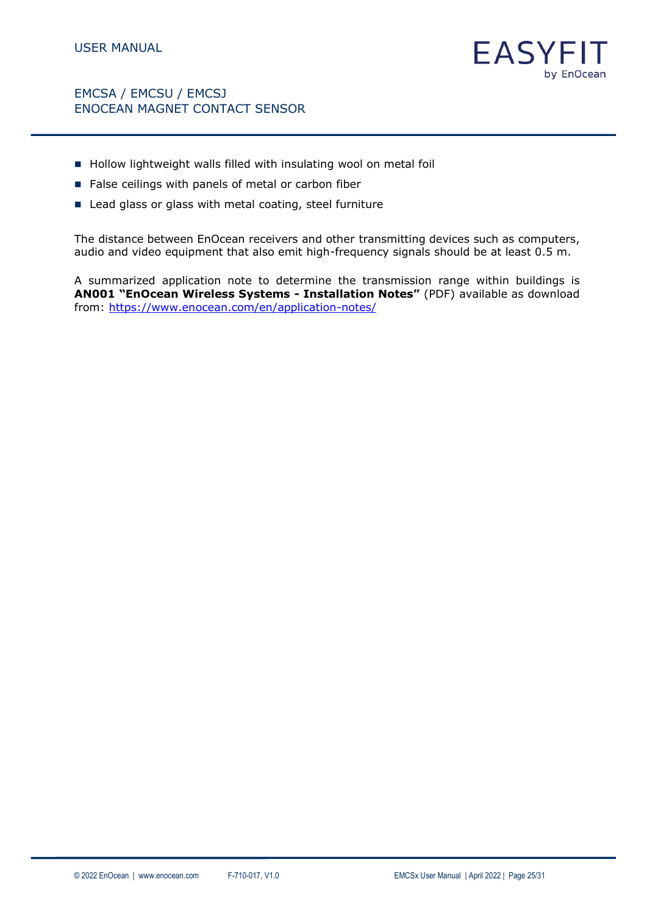

- Hollow lightweight walls filled with insulating wool on metal foil
- False ceilings with panels of metal or carbon fiber
- Lead glass or glass with metal coating, steel furniture

The distance between EnOcean receivers and other transmitting devices such as computers, audio and video equipment that also emit high-frequency signals should be at least 0.5 m.

A summarized application note to determine the transmission range within buildings is **AN001 "EnOcean Wireless Systems - Installation Notes"** (PDF) available as download from: <https://www.enocean.com/en/application-notes/>

FASY

by EnOcean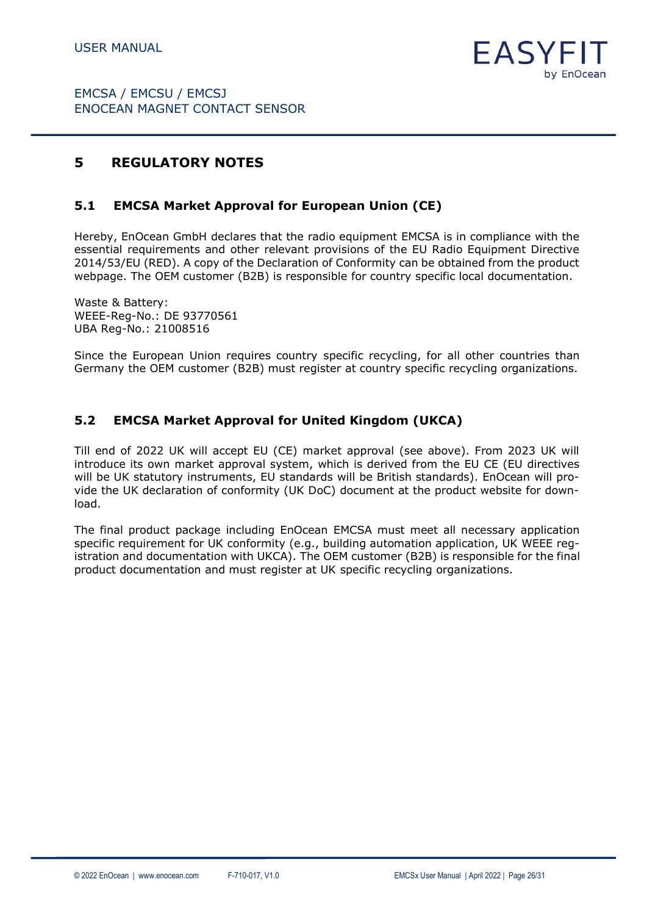

# <span id="page-25-0"></span>**5 REGULATORY NOTES**

### <span id="page-25-1"></span>**5.1 EMCSA Market Approval for European Union (CE)**

Hereby, EnOcean GmbH declares that the radio equipment EMCSA is in compliance with the essential requirements and other relevant provisions of the EU Radio Equipment Directive 2014/53/EU (RED). A copy of the Declaration of Conformity can be obtained from the product webpage. The OEM customer (B2B) is responsible for country specific local documentation.

Waste & Battery: WEEE-Reg-No.: DE 93770561 UBA Reg-No.: 21008516

Since the European Union requires country specific recycling, for all other countries than Germany the OEM customer (B2B) must register at country specific recycling organizations.

### <span id="page-25-2"></span>**5.2 EMCSA Market Approval for United Kingdom (UKCA)**

Till end of 2022 UK will accept EU (CE) market approval (see above). From 2023 UK will introduce its own market approval system, which is derived from the EU CE (EU directives will be UK statutory instruments, EU standards will be British standards). EnOcean will provide the UK declaration of conformity (UK DoC) document at the product website for download.

The final product package including EnOcean EMCSA must meet all necessary application specific requirement for UK conformity (e.g., building automation application, UK WEEE registration and documentation with UKCA). The OEM customer (B2B) is responsible for the final product documentation and must register at UK specific recycling organizations.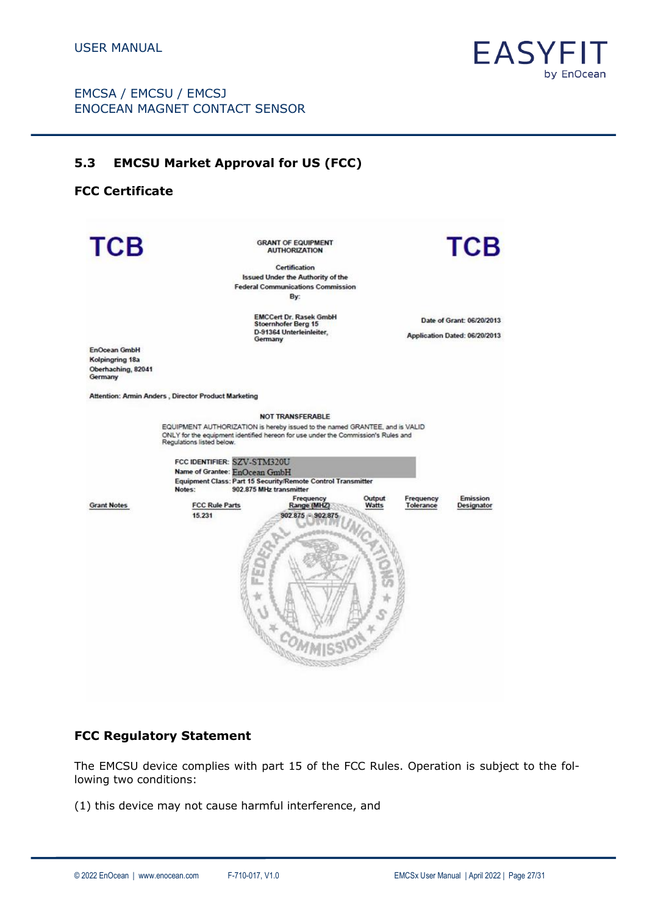

# <span id="page-26-0"></span>**5.3 EMCSU Market Approval for US (FCC)**

# **FCC Certificate**

| <b>TCB</b>                                                              |                                                                                                                                                                                                                                                                                                                                                                            | <b>GRANT OF EQUIPMENT</b><br><b>AUTHORIZATION</b><br>Certification<br><b>Issued Under the Authority of the</b><br><b>Federal Communications Commission</b> |                 |                        | <b>TCB</b>                                                 |
|-------------------------------------------------------------------------|----------------------------------------------------------------------------------------------------------------------------------------------------------------------------------------------------------------------------------------------------------------------------------------------------------------------------------------------------------------------------|------------------------------------------------------------------------------------------------------------------------------------------------------------|-----------------|------------------------|------------------------------------------------------------|
|                                                                         |                                                                                                                                                                                                                                                                                                                                                                            | By:                                                                                                                                                        |                 |                        |                                                            |
|                                                                         |                                                                                                                                                                                                                                                                                                                                                                            | <b>EMCCert Dr. Rasek GmbH</b><br><b>Stoernhofer Berg 15</b><br>D-91364 Unterleinleiter.<br>Germany                                                         |                 |                        | Date of Grant: 06/20/2013<br>Application Dated: 06/20/2013 |
| <b>EnOcean GmbH</b><br>Kolpingring 18a<br>Oberhaching, 82041<br>Germany |                                                                                                                                                                                                                                                                                                                                                                            |                                                                                                                                                            |                 |                        |                                                            |
|                                                                         | Attention: Armin Anders, Director Product Marketing                                                                                                                                                                                                                                                                                                                        |                                                                                                                                                            |                 |                        |                                                            |
| <b>Grant Notes</b>                                                      | EQUIPMENT AUTHORIZATION is hereby issued to the named GRANTEE, and is VALID<br>ONLY for the equipment identified hereon for use under the Commission's Rules and<br>Regulations listed below.<br>FCC IDENTIFIER: SZV-STM320U<br>Name of Grantee: EnOcean GmbH<br>Equipment Class: Part 15 Security/Remote Control Transmitter<br>Notes:<br><b>FCC Rule Parts</b><br>15.231 | <b>NOT TRANSFERABLE</b><br>902.875 MHz transmitter<br>Frequency<br>Range (MHZ)<br>902.875 - 902.875                                                        | Output<br>Watts | Frequency<br>Tolerance | Emission<br>Designator                                     |

#### **FCC Regulatory Statement**

The EMCSU device complies with part 15 of the FCC Rules. Operation is subject to the following two conditions:

(1) this device may not cause harmful interference, and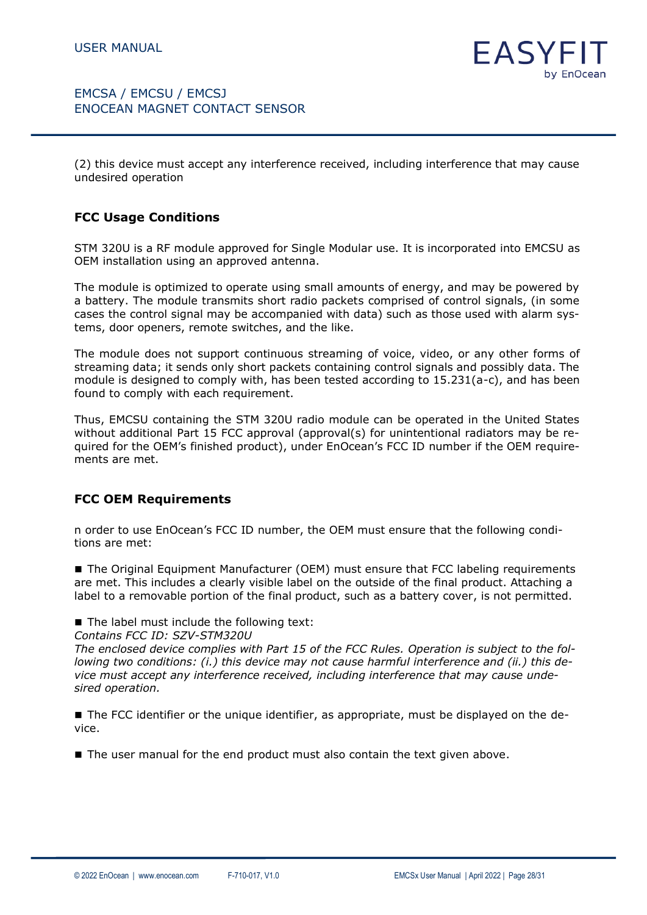

(2) this device must accept any interference received, including interference that may cause undesired operation

#### **FCC Usage Conditions**

STM 320U is a RF module approved for Single Modular use. It is incorporated into EMCSU as OEM installation using an approved antenna.

The module is optimized to operate using small amounts of energy, and may be powered by a battery. The module transmits short radio packets comprised of control signals, (in some cases the control signal may be accompanied with data) such as those used with alarm systems, door openers, remote switches, and the like.

The module does not support continuous streaming of voice, video, or any other forms of streaming data; it sends only short packets containing control signals and possibly data. The module is designed to comply with, has been tested according to 15.231(a-c), and has been found to comply with each requirement.

Thus, EMCSU containing the STM 320U radio module can be operated in the United States without additional Part 15 FCC approval (approval(s) for unintentional radiators may be required for the OEM's finished product), under EnOcean's FCC ID number if the OEM requirements are met.

### **FCC OEM Requirements**

n order to use EnOcean's FCC ID number, the OEM must ensure that the following conditions are met:

■ The Original Equipment Manufacturer (OEM) must ensure that FCC labeling requirements are met. This includes a clearly visible label on the outside of the final product. Attaching a label to a removable portion of the final product, such as a battery cover, is not permitted.

■ The label must include the following text:

*Contains FCC ID: SZV-STM320U* 

*The enclosed device complies with Part 15 of the FCC Rules. Operation is subject to the following two conditions: (i.) this device may not cause harmful interference and (ii.) this device must accept any interference received, including interference that may cause undesired operation.* 

■ The FCC identifier or the unique identifier, as appropriate, must be displayed on the device.

■ The user manual for the end product must also contain the text given above.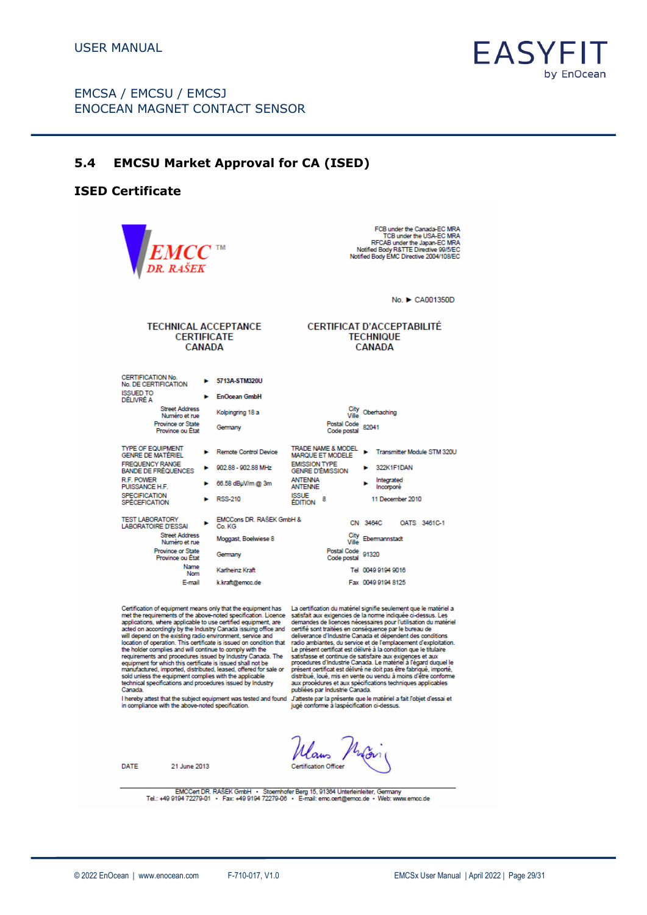

### <span id="page-28-0"></span>**5.4 EMCSU Market Approval for CA (ISED)**

#### **ISED Certificate**

FCB under the Canada-EC MRA<br>TCB under the USA-EC MRA<br>RFCAB under the Japan-EC MRA<br>Notified Body R&TTE Directive 2004/EC<br>Notified Body EMC Directive 2004/108/EC DR. RAŠEK No. ▶ CA001350D **TECHNICAL ACCEPTANCE CERTIFICAT D'ACCEPTABILITÉ CERTIFICATE TECHNIQUE CANADA CANADA CERTIFICATION No.** > 5713A-STM320U No. DE CERTIFICATION **ISSUED TO** EnOcean GmbH DÉLIVRÉ A Street Address<br>Numéro et rue City<br>Ville Oberhaching Kolpingring 18 a Province or State<br>Province ou État Postal Code<br>Code postal 82041 Germany TYPE OF EQUIPMENT<br>GENRE DE MATÉRIEL TRADE NAME & MODEL ▶ Transmitter Module STM 320U<br>MARQUE ET MODELE ▶ Transmitter Module STM 320U Remote Control Device ь EMISSION TYPE<br>GENRE D'ÉMISSION FREQUENCY RANGE<br>BANDE DE FRÉQUENCES  $\blacktriangleright$  902.88 - 902.88 MHz  $\blacktriangleright$  322K1F1DAN **R.F. POWER**<br>PUISSANCE H.F. **ANTENNA** Integrated  $\triangleright$  66.58 dBuV/m @ 3m  $\mathbf{E}$ **ANTENNE** Incomoré ISSUE<br>EDITION 8 **SPECIFICATION**  $E = RSS, 210$ 11 December 2010 **SPÉCEFICATION** TEST LABORATORY<br>LABORATOIRE D'ESSAI EMCCons DR. RAŠEK GmbH &  $\mathbf{r}$ CN 3464C OATS 3461C-1 Co KG **Street Address** City<br>Ville Ebermannstadt Moggast, Boelwiese 8 Numéro et rue Postal Code<br>Code postal 91320 Province or State Germany Province ou État Name<br>Nom Karlheinz Kraft Tel 0049 9194 9016 E-mail k.kraft@emcc.de Fax 0049 9194 8125

Certification of equipment means only that the equipment has La certification du matériel signifie seulement que le matériel a acted on accordingly by the industry clanarial sister<br>will depend on the existing radio environment, service and<br>location of operation. This certificate is issued on condition that<br>the holder complies and will continue to sold unless the equipment complies with the applicable<br>technical specifications and procedures issued by Industry Canada.

Certification of equipment means only that the equipment has<br>
La certification du matériel signifie seulement que le matériel a<br>
met the requirements of the above-noted specification. Licence satisfati aux exigencies de la présent certificat est délivré ne doit pas être fabriqué, importé,<br>présent certificat est délivré ne doit pas être fabriqué, importé,<br>aux procédures et aux spécifications techniques applicables<br>aux procédures et aux spécif

I hereby attest that the subject equipment was tested and found Jatteste par la présente que le matériel a fait l'objet d'essai et<br>in compliance with the above-noted specification. [jugé conforme à laspécification ci-dessu

**Certification Officer** 

DATE 21 June 2013

EMCCert DR. RAŠEK GmbH · Stoernhofer Berg 15, 91384 Unterleinleiter, Germany<br>Tel.: +49 9194 72279-01 · Fax: +49 9194 72279-06 · E-mail: emc.oert@emco.de · Web: www.emco.de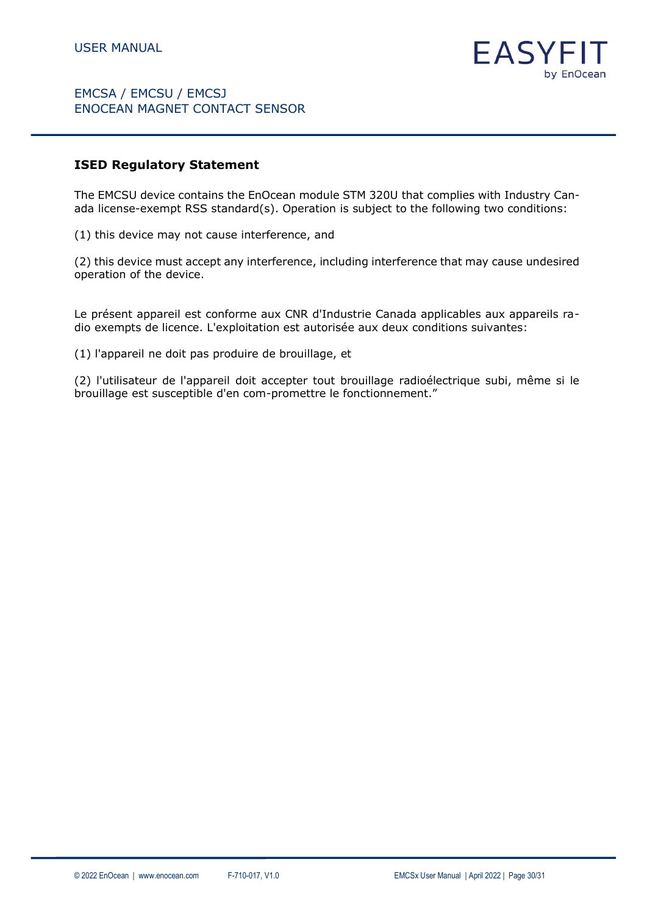

#### **ISED Regulatory Statement**

The EMCSU device contains the EnOcean module STM 320U that complies with Industry Canada license-exempt RSS standard(s). Operation is subject to the following two conditions:

(1) this device may not cause interference, and

(2) this device must accept any interference, including interference that may cause undesired operation of the device.

Le présent appareil est conforme aux CNR d'Industrie Canada applicables aux appareils radio exempts de licence. L'exploitation est autorisée aux deux conditions suivantes:

(1) l'appareil ne doit pas produire de brouillage, et

(2) l'utilisateur de l'appareil doit accepter tout brouillage radioélectrique subi, même si le brouillage est susceptible d'en com-promettre le fonctionnement."